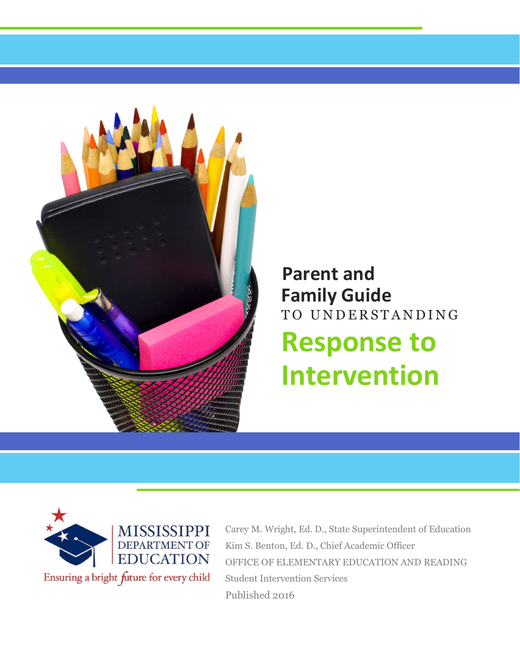

# **Family Guide** TO UNDERSTANDING **Response to Intervention Parent and**



Carey M. Wright, Ed. D., State Superintendent of Education Kim S. Benton, Ed. D., Chief Academic Officer OFFICE OF ELEMENTARY EDUCATION AND READING Student Intervention Services Published 2016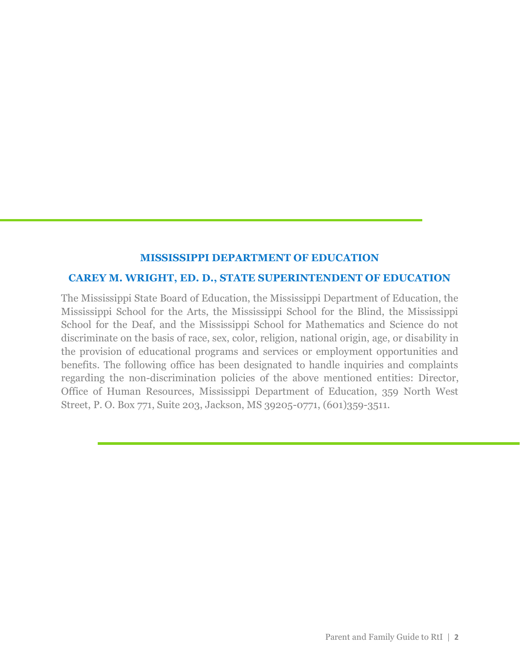#### **MISSISSIPPI DEPARTMENT OF EDUCATION**

#### **CAREY M. WRIGHT, ED. D., STATE SUPERINTENDENT OF EDUCATION**

The Mississippi State Board of Education, the Mississippi Department of Education, the Mississippi School for the Arts, the Mississippi School for the Blind, the Mississippi School for the Deaf, and the Mississippi School for Mathematics and Science do not discriminate on the basis of race, sex, color, religion, national origin, age, or disability in the provision of educational programs and services or employment opportunities and benefits. The following office has been designated to handle inquiries and complaints regarding the non-discrimination policies of the above mentioned entities: Director, Office of Human Resources, Mississippi Department of Education, 359 North West Street, P. O. Box 771, Suite 203, Jackson, MS 39205-0771, (601)359-3511.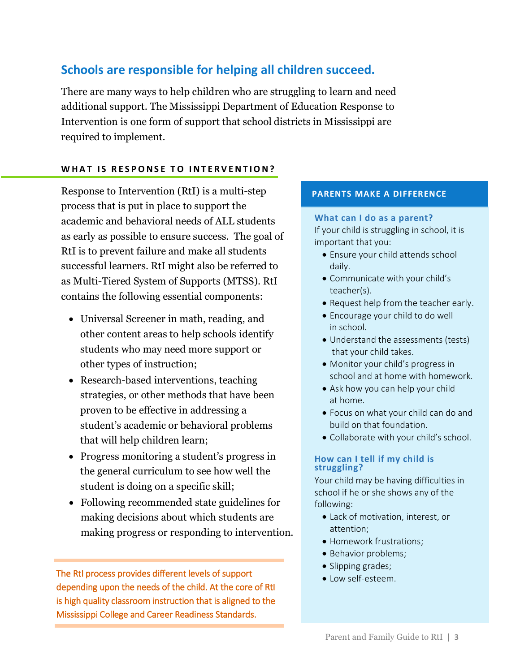### **Schools are responsible for helping all children succeed.**

There are many ways to help children who are struggling to learn and need additional support. The Mississippi Department of Education Response to Intervention is one form of support that school districts in Mississippi are required to implement.

#### WHAT IS RESPONSE TO INTERVENTION?

Response to Intervention (RtI) is a multi-step process that is put in place to support the academic and behavioral needs of ALL students as early as possible to ensure success. The goal of RtI is to prevent failure and make all students successful learners. RtI might also be referred to as Multi-Tiered System of Supports (MTSS). RtI contains the following essential components:

- Universal Screener in math, reading, and other content areas to help schools identify students who may need more support or other types of instruction;
- Research-based interventions, teaching strategies, or other methods that have been proven to be effective in addressing a student's academic or behavioral problems that will help children learn;
- Progress monitoring a student's progress in the general curriculum to see how well the student is doing on a specific skill;
- Following recommended state guidelines for making decisions about which students are making progress or responding to intervention.

The RtI process provides different levels of support depending upon the needs of the child. At the core of RtI is high quality classroom instruction that is aligned to the Mississippi College and Career Readiness Standards.

#### **PARENTS MAKE A DIFFERENCE**

#### **What can I do as a parent?** If your child is struggling in school, it is important that you:

- Ensure your child attends school daily.
- Communicate with your child's teacher(s).
- Request help from the teacher early.
- Encourage your child to do well in school.
- Understand the assessments (tests) that your child takes.
- Monitor your child's progress in school and at home with homework.
- Ask how you can help your child at home.
- Focus on what your child can do and build on that foundation.
- Collaborate with your child's school.

#### **How can I tell if my child is struggling?**

Your child may be having difficulties in school if he or she shows any of the following:

- Lack of motivation, interest, or attention;
- Homework frustrations;
- Behavior problems;
- Slipping grades;
- Low self-esteem.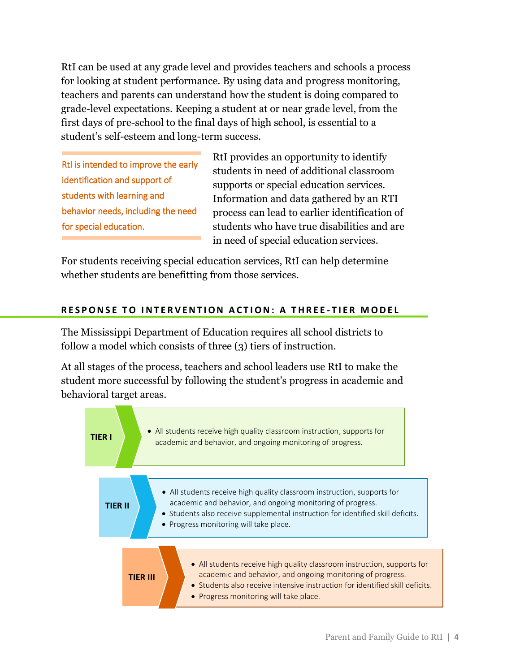RtI can be used at any grade level and provides teachers and schools a process for looking at student performance. By using data and progress monitoring, teachers and parents can understand how the student is doing compared to grade-level expectations. Keeping a student at or near grade level, from the first days of pre-school to the final days of high school, is essential to a student's self-esteem and long-term success.

RtI is intended to improve the early identification and support of students with learning and behavior needs, including the need for special education.

RtI provides an opportunity to identify students in need of additional classroom supports or special education services. Information and data gathered by an RTI process can lead to earlier identification of students who have true disabilities and are in need of special education services.

For students receiving special education services, RtI can help determine whether students are benefitting from those services.

### **RESPONSE TO INTERVENTION ACTION: A THREE-TIER MODEL**

The Mississippi Department of Education requires all school districts to follow a model which consists of three (3) tiers of instruction.

At all stages of the process, teachers and school leaders use RtI to make the student more successful by following the student's progress in academic and behavioral target areas.

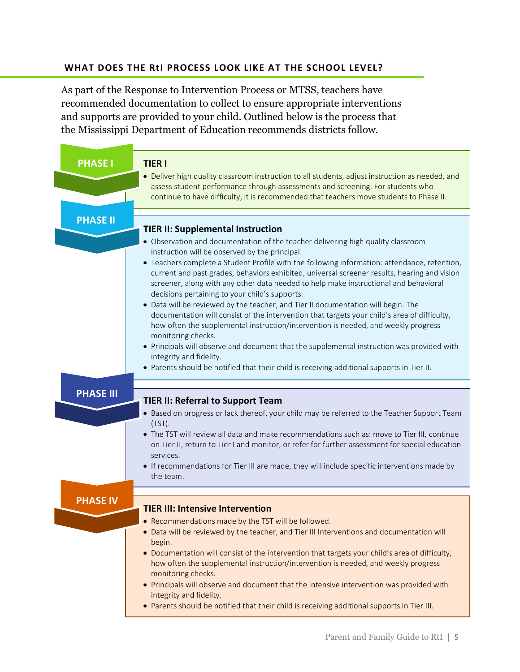#### **WHAT DOES THE RtI PROCESS LOOK LIKE AT THE SCHOOL LEVEL?**

As part of the Response to Intervention Process or MTSS, teachers have recommended documentation to collect to ensure appropriate interventions and supports are provided to your child. Outlined below is the process that the Mississippi Department of Education recommends districts follow.

| <b>PHASE I</b>   | <b>TIER I</b><br>• Deliver high quality classroom instruction to all students, adjust instruction as needed, and<br>assess student performance through assessments and screening. For students who<br>continue to have difficulty, it is recommended that teachers move students to Phase II.                                                                                                                                                                                                                                                                                                                                                                                                                                                                                                                                                                                                                                                                                                                                                    |
|------------------|--------------------------------------------------------------------------------------------------------------------------------------------------------------------------------------------------------------------------------------------------------------------------------------------------------------------------------------------------------------------------------------------------------------------------------------------------------------------------------------------------------------------------------------------------------------------------------------------------------------------------------------------------------------------------------------------------------------------------------------------------------------------------------------------------------------------------------------------------------------------------------------------------------------------------------------------------------------------------------------------------------------------------------------------------|
| <b>PHASE II</b>  |                                                                                                                                                                                                                                                                                                                                                                                                                                                                                                                                                                                                                                                                                                                                                                                                                                                                                                                                                                                                                                                  |
|                  | <b>TIER II: Supplemental Instruction</b><br>• Observation and documentation of the teacher delivering high quality classroom<br>instruction will be observed by the principal.<br>• Teachers complete a Student Profile with the following information: attendance, retention,<br>current and past grades, behaviors exhibited, universal screener results, hearing and vision<br>screener, along with any other data needed to help make instructional and behavioral<br>decisions pertaining to your child's supports.<br>• Data will be reviewed by the teacher, and Tier II documentation will begin. The<br>documentation will consist of the intervention that targets your child's area of difficulty,<br>how often the supplemental instruction/intervention is needed, and weekly progress<br>monitoring checks.<br>• Principals will observe and document that the supplemental instruction was provided with<br>integrity and fidelity.<br>• Parents should be notified that their child is receiving additional supports in Tier II. |
|                  |                                                                                                                                                                                                                                                                                                                                                                                                                                                                                                                                                                                                                                                                                                                                                                                                                                                                                                                                                                                                                                                  |
| <b>PHASE III</b> | <b>TIER II: Referral to Support Team</b><br>• Based on progress or lack thereof, your child may be referred to the Teacher Support Team<br>$(TST)$ .<br>. The TST will review all data and make recommendations such as: move to Tier III, continue<br>on Tier II, return to Tier I and monitor, or refer for further assessment for special education<br>services.<br>• If recommendations for Tier III are made, they will include specific interventions made by<br>the team.                                                                                                                                                                                                                                                                                                                                                                                                                                                                                                                                                                 |
| <b>PHASE IV</b>  | <b>TIER III: Intensive Intervention</b><br>• Recommendations made by the TST will be followed.<br>• Data will be reviewed by the teacher, and Tier III Interventions and documentation will<br>begin.<br>• Documentation will consist of the intervention that targets your child's area of difficulty,<br>how often the supplemental instruction/intervention is needed, and weekly progress<br>monitoring checks.<br>• Principals will observe and document that the intensive intervention was provided with<br>integrity and fidelity.<br>. Parents should be notified that their child is receiving additional supports in Tier III.                                                                                                                                                                                                                                                                                                                                                                                                        |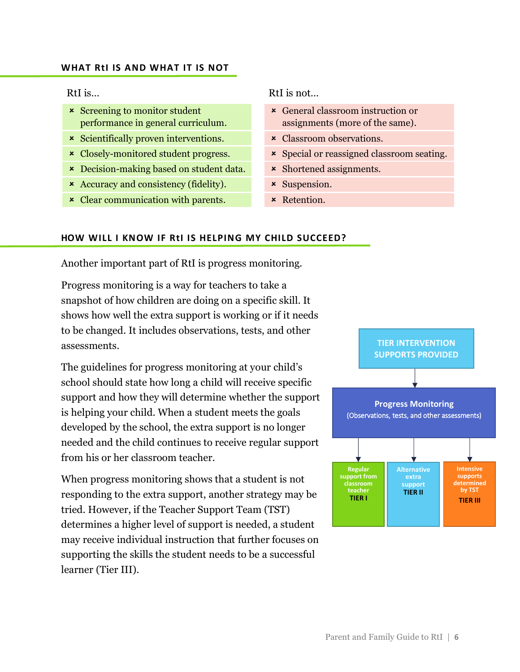#### **WHAT RtI IS AND WHAT IT IS NOT**

- **x** Screening to monitor student performance in general curriculum.
- **x** Scientifically proven interventions. <br>**Example 3** Classroom observations.
- 
- \* Decision-making based on student data. \* Shortened assignments.
- \* Accuracy and consistency (fidelity).  $\star$  Suspension.
- x Clear communication with parents. <br>Retention.

#### RtI is… RtI is not…

- General classroom instruction or assignments (more of the same).
- 
- <sup>x</sup> Closely-monitored student progress. Special or reassigned classroom seating.
	-
	-
	-

#### **HOW WILL I KNOW IF RtI IS HELPING MY CHILD SUCCEED?**

Another important part of RtI is progress monitoring.

Progress monitoring is a way for teachers to take a snapshot of how children are doing on a specific skill. It shows how well the extra support is working or if it needs to be changed. It includes observations, tests, and other assessments.

The guidelines for progress monitoring at your child's school should state how long a child will receive specific support and how they will determine whether the support is helping your child. When a student meets the goals developed by the school, the extra support is no longer needed and the child continues to receive regular support from his or her classroom teacher.

When progress monitoring shows that a student is not responding to the extra support, another strategy may be tried. However, if the Teacher Support Team (TST) determines a higher level of support is needed, a student may receive individual instruction that further focuses on supporting the skills the student needs to be a successful learner (Tier III).

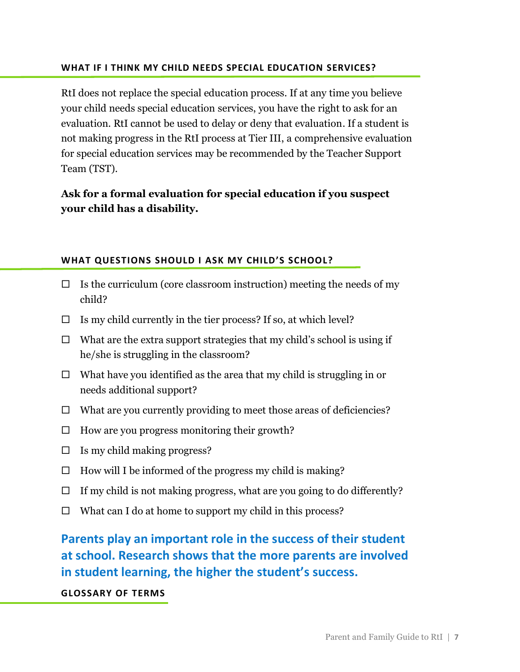#### **WHAT IF I THINK MY CHILD NEEDS SPECIAL EDUCATION SERVICES?**

RtI does not replace the special education process. If at any time you believe your child needs special education services, you have the right to ask for an evaluation. RtI cannot be used to delay or deny that evaluation. If a student is not making progress in the RtI process at Tier III, a comprehensive evaluation for special education services may be recommended by the Teacher Support Team (TST).

### **Ask for a formal evaluation for special education if you suspect your child has a disability.**

### **WHAT QUESTIONS SHOULD I ASK MY CHILD'S SCHOOL?**

- $\Box$  Is the curriculum (core classroom instruction) meeting the needs of my child?
- $\Box$  Is my child currently in the tier process? If so, at which level?
- $\Box$  What are the extra support strategies that my child's school is using if he/she is struggling in the classroom?
- $\Box$  What have you identified as the area that my child is struggling in or needs additional support?
- $\Box$  What are you currently providing to meet those areas of deficiencies?
- $\Box$  How are you progress monitoring their growth?
- $\Box$  Is my child making progress?
- $\Box$  How will I be informed of the progress my child is making?
- $\Box$  If my child is not making progress, what are you going to do differently?
- $\Box$  What can I do at home to support my child in this process?

## **Parents play an important role in the success of their student at school. Research shows that the more parents are involved in student learning, the higher the student's success.**

### **GLOSSARY OF TERMS**